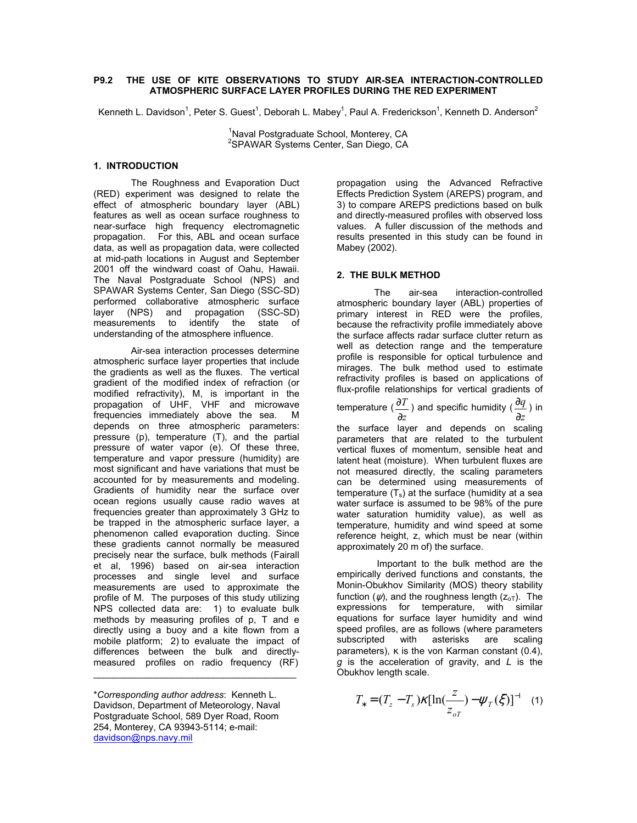# **P9.2 THE USE OF KITE OBSERVATIONS TO STUDY AIR-SEA INTERACTION-CONTROLLED ATMOSPHERIC SURFACE LAYER PROFILES DURING THE RED EXPERIMENT**

Kenneth L. Davidson<sup>1</sup>, Peter S. Guest<sup>1</sup>, Deborah L. Mabey<sup>1</sup>, Paul A. Frederickson<sup>1</sup>, Kenneth D. Anderson<sup>2</sup>

<sup>1</sup>Naval Postgraduate School, Monterey, CA<br><sup>2</sup>SBAWAB Systems Conter, San Diago, CA <sup>2</sup>SPAWAR Systems Center, San Diego, CA

# **1. INTRODUCTION**

The Roughness and Evaporation Duct (RED) experiment was designed to relate the effect of atmospheric boundary layer (ABL) features as well as ocean surface roughness to near-surface high frequency electromagnetic propagation. For this, ABL and ocean surface data, as well as propagation data, were collected at mid-path locations in August and September 2001 off the windward coast of Oahu, Hawaii. The Naval Postgraduate School (NPS) and SPAWAR Systems Center, San Diego (SSC-SD) performed collaborative atmospheric surface layer (NPS) and propagation (SSC-SD) measurements to identify the state of understanding of the atmosphere influence.

Air-sea interaction processes determine atmospheric surface layer properties that include the gradients as well as the fluxes. The vertical gradient of the modified index of refraction (or modified refractivity), M, is important in the propagation of UHF, VHF and microwave frequencies immediately above the sea. M depends on three atmospheric parameters: pressure (p), temperature (T), and the partial pressure of water vapor (e). Of these three, temperature and vapor pressure (humidity) are most significant and have variations that must be accounted for by measurements and modeling. Gradients of humidity near the surface over ocean regions usually cause radio waves at frequencies greater than approximately 3 GHz to be trapped in the atmospheric surface layer, a phenomenon called evaporation ducting. Since these gradients cannot normally be measured precisely near the surface, bulk methods (Fairall et al, 1996) based on air-sea interaction processes and single level and surface measurements are used to approximate the profile of M. The purposes of this study utilizing NPS collected data are: 1) to evaluate bulk methods by measuring profiles of p, T and e directly using a buoy and a kite flown from a mobile platform; 2) to evaluate the impact of differences between the bulk and directlymeasured profiles on radio frequency (RF)

propagation using the Advanced Refractive Effects Prediction System (AREPS) program, and 3) to compare AREPS predictions based on bulk and directly-measured profiles with observed loss values. A fuller discussion of the methods and results presented in this study can be found in Mabey (2002).

#### **2. THE BULK METHOD**

The air-sea interaction-controlled atmospheric boundary layer (ABL) properties of primary interest in RED were the profiles, because the refractivity profile immediately above the surface affects radar surface clutter return as well as detection range and the temperature profile is responsible for optical turbulence and mirages. The bulk method used to estimate refractivity profiles is based on applications of flux-profile relationships for vertical gradients of

temperature ( *z T* ∂  $\frac{\partial T}{\partial \nu}$  ) and specific humidity ( *z q* ∂  $\frac{\partial q}{\partial \theta}$  ) in the surface layer and depends on scaling parameters that are related to the turbulent vertical fluxes of momentum, sensible heat and latent heat (moisture). When turbulent fluxes are not measured directly, the scaling parameters

can be determined using measurements of temperature  $(T_s)$  at the surface (humidity at a sea water surface is assumed to be 98% of the pure water saturation humidity value), as well as temperature, humidity and wind speed at some reference height, z, which must be near (within approximately 20 m of) the surface.

Important to the bulk method are the empirically derived functions and constants, the Monin-Obukhov Similarity (MOS) theory stability function ( $\psi$ ), and the roughness length ( $z_{\text{oT}}$ ). The expressions for temperature, with similar equations for surface layer humidity and wind speed profiles, are as follows (where parameters<br>subscripted with asterisks are scaling subscripted with asterisks are scaling parameters),  $\kappa$  is the von Karman constant (0.4), *g* is the acceleration of gravity, and *L* is the Obukhov length scale.

$$
T_* = (T_z - T_s) \kappa [\ln(\frac{z}{z_{oT}}) - \psi_T(\xi)]^{-1}
$$
 (1)

*<sup>z</sup> <sup>T</sup> <sup>T</sup> <sup>T</sup>* (1) \**Corresponding author address*: Kenneth L. Davidson, Department of Meteorology, Naval Postgraduate School, 589 Dyer Road, Room 254, Monterey, CA 93943-5114; e-mail: [davidson@nps.navy.mil](mailto:davidson@nps.navy.mil)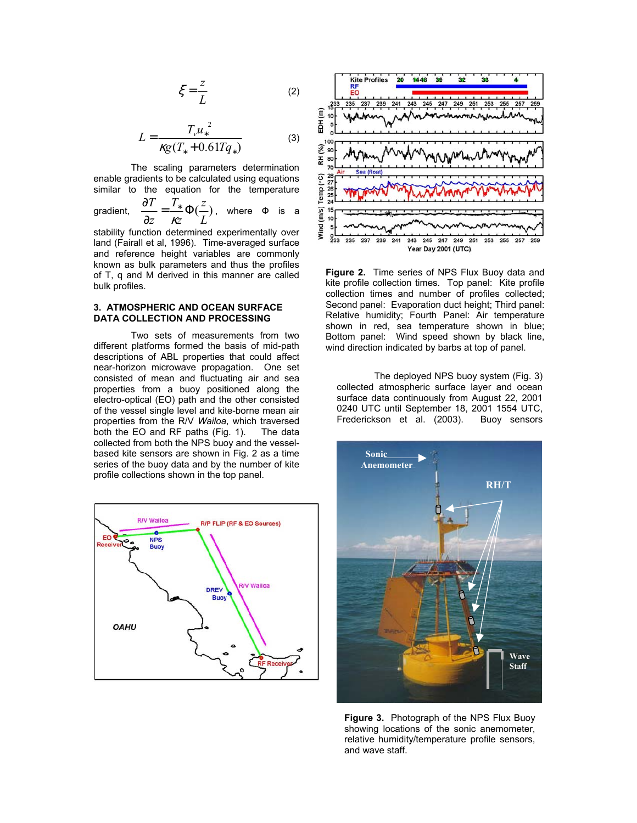$$
\xi = \frac{z}{L} \tag{2}
$$

$$
L = \frac{T_{\nu} u_{*}^{2}}{\kappa g (T_{*} + 0.61Tq_{*})}
$$
 (3)

The scaling parameters determination enable gradients to be calculated using equations similar to the equation for the temperature

gradient,  $\frac{01}{2} = \frac{1}{2} \Phi(\frac{2}{3})$ *L z z T z T* ∂  $\frac{\partial T}{\partial z} = \frac{T_*}{\kappa z} \Phi(\frac{z}{L})$ , where  $\Phi$  is a

stability function determined experimentally over land (Fairall et al, 1996). Time-averaged surface and reference height variables are commonly known as bulk parameters and thus the profiles of T, q and M derived in this manner are called bulk profiles.

## **3. ATMOSPHERIC AND OCEAN SURFACE DATA COLLECTION AND PROCESSING**

Two sets of measurements from two different platforms formed the basis of mid-path descriptions of ABL properties that could affect near-horizon microwave propagation. One set consisted of mean and fluctuating air and sea properties from a buoy positioned along the electro-optical (EO) path and the other consisted of the vessel single level and kite-borne mean air properties from the R/V *Wailoa*, which traversed both the EO and RF paths (Fig. 1). collected from both the NPS buoy and the vesselbased kite sensors are shown in Fig. 2 as a time series of the buoy data and by the number of kite profile collections shown in the top panel.





**Figure 2.** Time series of NPS Flux Buoy data and kite profile collection times. Top panel: Kite profile collection times and number of profiles collected; Second panel: Evaporation duct height; Third panel: Relative humidity; Fourth Panel: Air temperature shown in red, sea temperature shown in blue; Bottom panel: Wind speed shown by black line, wind direction indicated by barbs at top of panel.

The deployed NPS buoy system (Fig. 3) collected atmospheric surface layer and ocean surface data continuously from August 22, 2001 0240 UTC until September 18, 2001 1554 UTC, Frederickson et al. (2003). Buoy sensors



**Figure 3.** Photograph of the NPS Flux Buoy showing locations of the sonic anemometer, relative humidity/temperature profile sensors, and wave staff.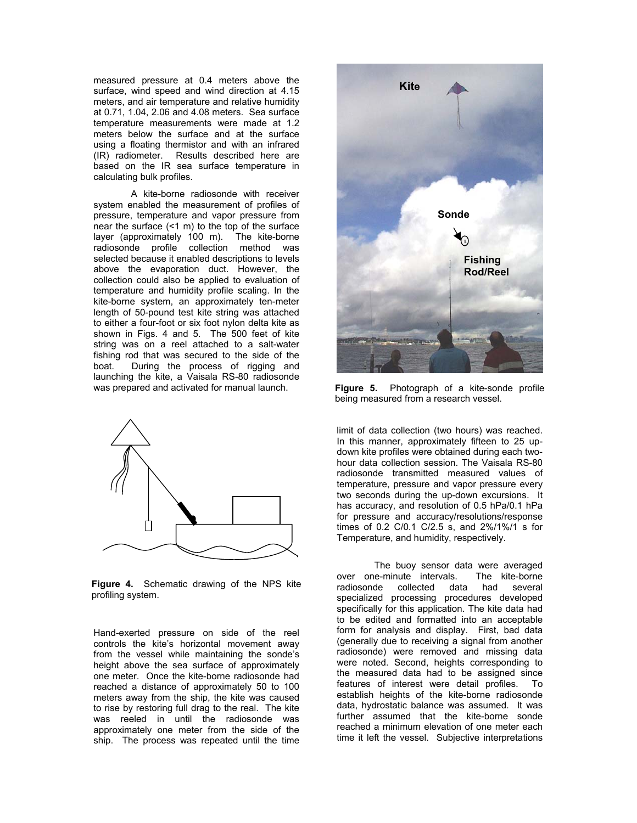measured pressure at 0.4 meters above the surface, wind speed and wind direction at 4.15 meters, and air temperature and relative humidity at 0.71, 1.04, 2.06 and 4.08 meters. Sea surface temperature measurements were made at 1.2 meters below the surface and at the surface using a floating thermistor and with an infrared (IR) radiometer. Results described here are based on the IR sea surface temperature in calculating bulk profiles.

A kite-borne radiosonde with receiver system enabled the measurement of profiles of pressure, temperature and vapor pressure from near the surface (<1 m) to the top of the surface layer (approximately 100 m). The kite-borne radiosonde profile collection method was selected because it enabled descriptions to levels above the evaporation duct. However, the collection could also be applied to evaluation of temperature and humidity profile scaling. In the kite-borne system, an approximately ten-meter length of 50-pound test kite string was attached to either a four-foot or six foot nylon delta kite as shown in Figs. 4 and 5. The 500 feet of kite string was on a reel attached to a salt-water fishing rod that was secured to the side of the boat. During the process of rigging and launching the kite, a Vaisala RS-80 radiosonde was prepared and activated for manual launch. **Figure 5.** Photograph of a kite-sonde profile



**Figure 4.** Schematic drawing of the NPS kite profiling system.

Hand-exerted pressure on side of the reel controls the kite's horizontal movement away from the vessel while maintaining the sonde's height above the sea surface of approximately one meter. Once the kite-borne radiosonde had reached a distance of approximately 50 to 100 meters away from the ship, the kite was caused to rise by restoring full drag to the real. The kite was reeled in until the radiosonde was approximately one meter from the side of the ship. The process was repeated until the time



being measured from a research vessel.

limit of data collection (two hours) was reached. In this manner, approximately fifteen to 25 updown kite profiles were obtained during each twohour data collection session. The Vaisala RS-80 radiosonde transmitted measured values of temperature, pressure and vapor pressure every two seconds during the up-down excursions. It has accuracy, and resolution of 0.5 hPa/0.1 hPa for pressure and accuracy/resolutions/response times of 0.2 C/0.1 C/2.5 s, and 2%/1%/1 s for Temperature, and humidity, respectively.

The buoy sensor data were averaged<br>le-minute intervals. The kite-borne over one-minute intervals. radiosonde collected data had several specialized processing procedures developed specifically for this application. The kite data had to be edited and formatted into an acceptable form for analysis and display. First, bad data (generally due to receiving a signal from another radiosonde) were removed and missing data were noted. Second, heights corresponding to the measured data had to be assigned since features of interest were detail profiles. To establish heights of the kite-borne radiosonde data, hydrostatic balance was assumed. It was further assumed that the kite-borne sonde reached a minimum elevation of one meter each time it left the vessel. Subjective interpretations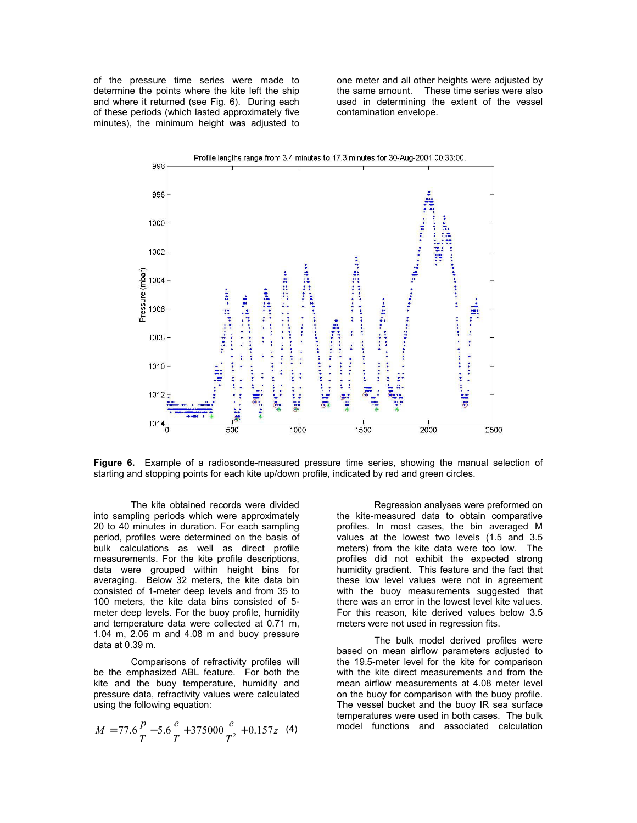of the pressure time series were made to determine the points where the kite left the ship and where it returned (see Fig. 6). During each of these periods (which lasted approximately five minutes), the minimum height was adjusted to one meter and all other heights were adjusted by the same amount. These time series were also used in determining the extent of the vessel contamination envelope.



**Figure 6.** Example of a radiosonde-measured pressure time series, showing the manual selection of starting and stopping points for each kite up/down profile, indicated by red and green circles.

The kite obtained records were divided into sampling periods which were approximately 20 to 40 minutes in duration. For each sampling period, profiles were determined on the basis of bulk calculations as well as direct profile measurements. For the kite profile descriptions, data were grouped within height bins for averaging. Below 32 meters, the kite data bin consisted of 1-meter deep levels and from 35 to 100 meters, the kite data bins consisted of 5 meter deep levels. For the buoy profile, humidity and temperature data were collected at 0.71 m, 1.04 m, 2.06 m and 4.08 m and buoy pressure data at 0.39 m.

Comparisons of refractivity profiles will be the emphasized ABL feature. For both the kite and the buoy temperature, humidity and pressure data, refractivity values were calculated using the following equation:

$$
M = 77.6 \frac{p}{T} - 5.6 \frac{e}{T} + 375000 \frac{e}{T^2} + 0.157z
$$
 (4)

Regression analyses were preformed on the kite-measured data to obtain comparative profiles. In most cases, the bin averaged M values at the lowest two levels (1.5 and 3.5 meters) from the kite data were too low. The profiles did not exhibit the expected strong humidity gradient. This feature and the fact that these low level values were not in agreement with the buoy measurements suggested that there was an error in the lowest level kite values. For this reason, kite derived values below 3.5 meters were not used in regression fits.

The bulk model derived profiles were based on mean airflow parameters adjusted to the 19.5-meter level for the kite for comparison with the kite direct measurements and from the mean airflow measurements at 4.08 meter level on the buoy for comparison with the buoy profile. The vessel bucket and the buoy IR sea surface temperatures were used in both cases. The bulk model functions and associated calculation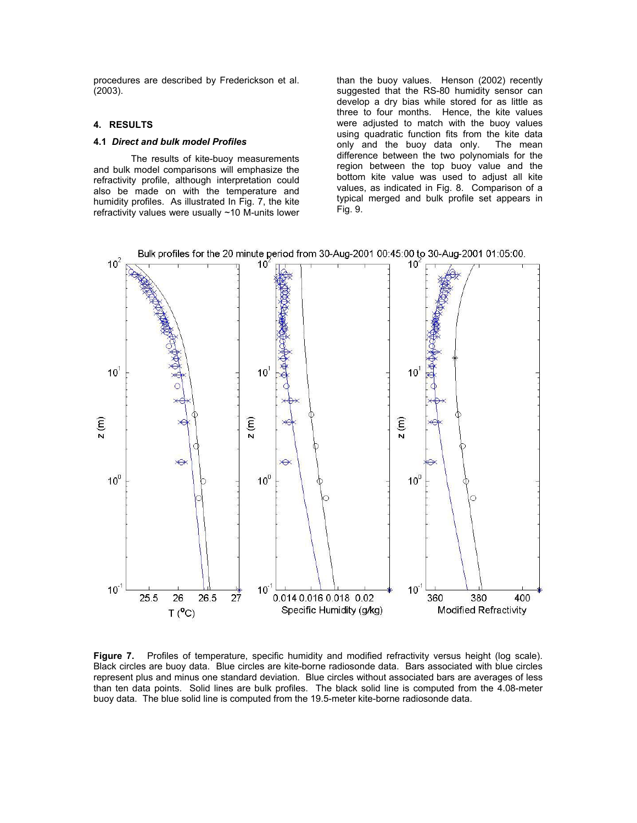procedures are described by Frederickson et al. (2003).

## **4. RESULTS**

#### **4.1** *Direct and bulk model Profiles*

The results of kite-buoy measurements and bulk model comparisons will emphasize the refractivity profile, although interpretation could also be made on with the temperature and humidity profiles. As illustrated In Fig. 7, the kite refractivity values were usually ~10 M-units lower

than the buoy values. Henson (2002) recently suggested that the RS-80 humidity sensor can develop a dry bias while stored for as little as three to four months. Hence, the kite values were adjusted to match with the buoy values using quadratic function fits from the kite data only and the buoy data only. The mean difference between the two polynomials for the region between the top buoy value and the bottom kite value was used to adjust all kite values, as indicated in Fig. 8. Comparison of a typical merged and bulk profile set appears in Fig. 9.



Figure 7. Profiles of temperature, specific humidity and modified refractivity versus height (log scale). Black circles are buoy data. Blue circles are kite-borne radiosonde data. Bars associated with blue circles represent plus and minus one standard deviation. Blue circles without associated bars are averages of less than ten data points. Solid lines are bulk profiles. The black solid line is computed from the 4.08-meter buoy data. The blue solid line is computed from the 19.5-meter kite-borne radiosonde data.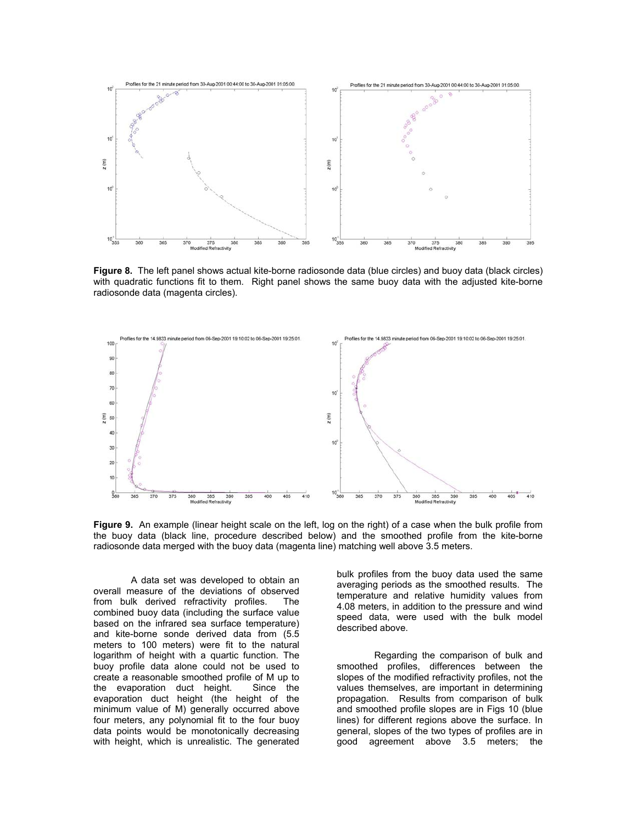

**Figure 8.** The left panel shows actual kite-borne radiosonde data (blue circles) and buoy data (black circles) with quadratic functions fit to them. Right panel shows the same buoy data with the adjusted kite-borne radiosonde data (magenta circles).



**Figure 9.** An example (linear height scale on the left, log on the right) of a case when the bulk profile from the buoy data (black line, procedure described below) and the smoothed profile from the kite-borne radiosonde data merged with the buoy data (magenta line) matching well above 3.5 meters.

A data set was developed to obtain an overall measure of the deviations of observed from bulk derived refractivity profiles. The combined buoy data (including the surface value based on the infrared sea surface temperature) and kite-borne sonde derived data from (5.5 meters to 100 meters) were fit to the natural logarithm of height with a quartic function. The buoy profile data alone could not be used to create a reasonable smoothed profile of M up to the evaporation duct height. Since the evaporation duct height (the height of the minimum value of M) generally occurred above four meters, any polynomial fit to the four buoy data points would be monotonically decreasing with height, which is unrealistic. The generated

bulk profiles from the buoy data used the same averaging periods as the smoothed results. The temperature and relative humidity values from 4.08 meters, in addition to the pressure and wind speed data, were used with the bulk model described above.

Regarding the comparison of bulk and smoothed profiles, differences between the slopes of the modified refractivity profiles, not the values themselves, are important in determining propagation. Results from comparison of bulk and smoothed profile slopes are in Figs 10 (blue lines) for different regions above the surface. In general, slopes of the two types of profiles are in good agreement above 3.5 meters; the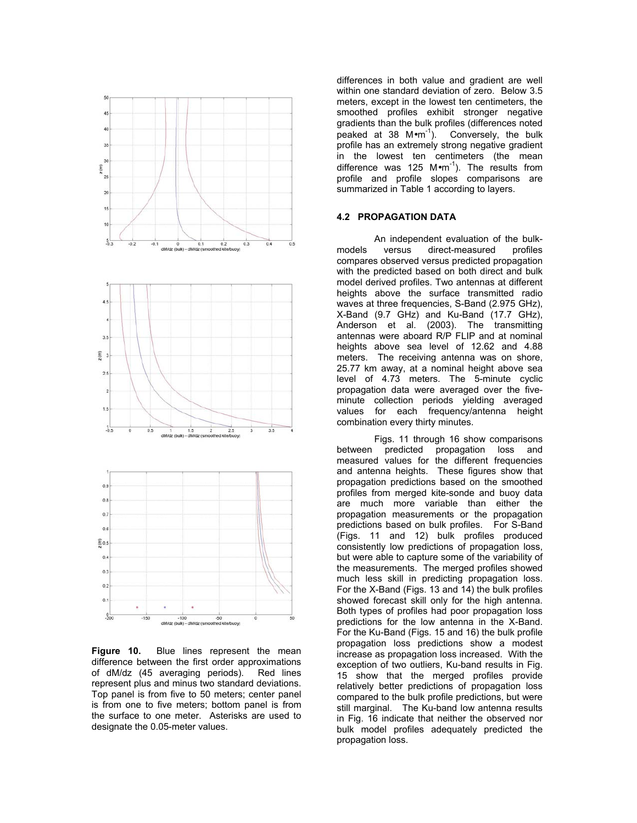

**Figure 10.** Blue lines represent the mean difference between the first order approximations of dM/dz (45 averaging periods). Red lines represent plus and minus two standard deviations. Top panel is from five to 50 meters; center panel is from one to five meters; bottom panel is from the surface to one meter. Asterisks are used to designate the 0.05-meter values.

differences in both value and gradient are well within one standard deviation of zero. Below 3.5 meters, except in the lowest ten centimeters, the smoothed profiles exhibit stronger negative gradients than the bulk profiles (differences noted peaked at 38  $M$ •m<sup>-1</sup>). Conversely, the bulk profile has an extremely strong negative gradient in the lowest ten centimeters (the mean difference was 125  $M \cdot m^{-1}$ ). The results from profile and profile slopes comparisons are summarized in Table 1 according to layers.

## **4.2 PROPAGATION DATA**

An independent evaluation of the bulkmodels versus direct-measured profiles compares observed versus predicted propagation with the predicted based on both direct and bulk model derived profiles. Two antennas at different heights above the surface transmitted radio waves at three frequencies, S-Band (2.975 GHz), X-Band (9.7 GHz) and Ku-Band (17.7 GHz), Anderson et al. (2003). The transmitting antennas were aboard R/P FLIP and at nominal heights above sea level of 12.62 and 4.88 meters. The receiving antenna was on shore, 25.77 km away, at a nominal height above sea level of 4.73 meters. The 5-minute cyclic propagation data were averaged over the fiveminute collection periods yielding averaged values for each frequency/antenna height combination every thirty minutes.

Figs. 11 through 16 show comparisons between predicted propagation loss and measured values for the different frequencies and antenna heights. These figures show that propagation predictions based on the smoothed profiles from merged kite-sonde and buoy data are much more variable than either the propagation measurements or the propagation predictions based on bulk profiles. For S-Band (Figs. 11 and 12) bulk profiles produced consistently low predictions of propagation loss, but were able to capture some of the variability of the measurements. The merged profiles showed much less skill in predicting propagation loss. For the X-Band (Figs. 13 and 14) the bulk profiles showed forecast skill only for the high antenna. Both types of profiles had poor propagation loss predictions for the low antenna in the X-Band. For the Ku-Band (Figs. 15 and 16) the bulk profile propagation loss predictions show a modest increase as propagation loss increased. With the exception of two outliers, Ku-band results in Fig. 15 show that the merged profiles provide relatively better predictions of propagation loss compared to the bulk profile predictions, but were still marginal. The Ku-band low antenna results in Fig. 16 indicate that neither the observed nor bulk model profiles adequately predicted the propagation loss.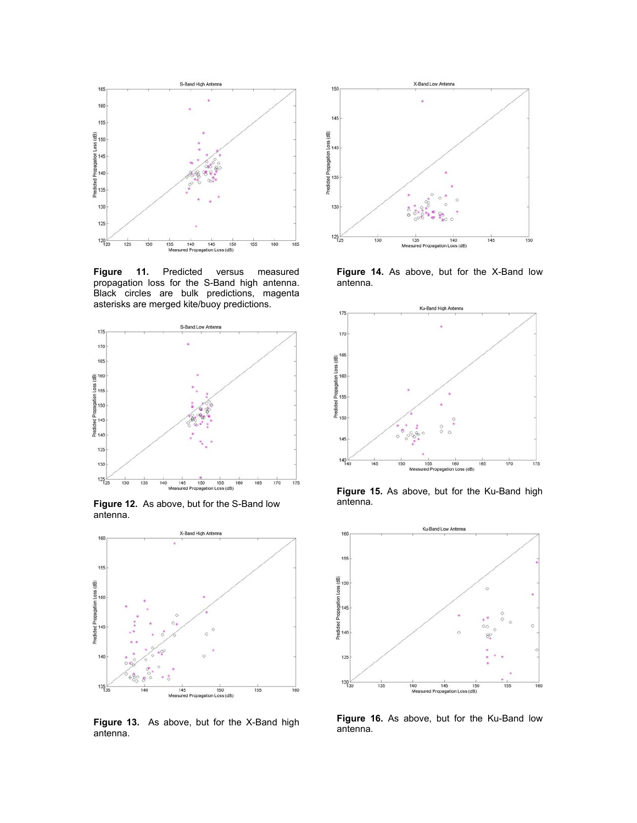

**Figure 11.** Predicted versus measured propagation loss for the S-Band high antenna. Black circles are bulk predictions, magenta asterisks are merged kite/buoy predictions.



**Figure 12.** As above, but for the S-Band low antenna.



**Figure 13.** As above, but for the X-Band high antenna.



**Figure 14.** As above, but for the X-Band low antenna.



**Figure 15.** As above, but for the Ku-Band high antenna.



**Figure 16.** As above, but for the Ku-Band low antenna.